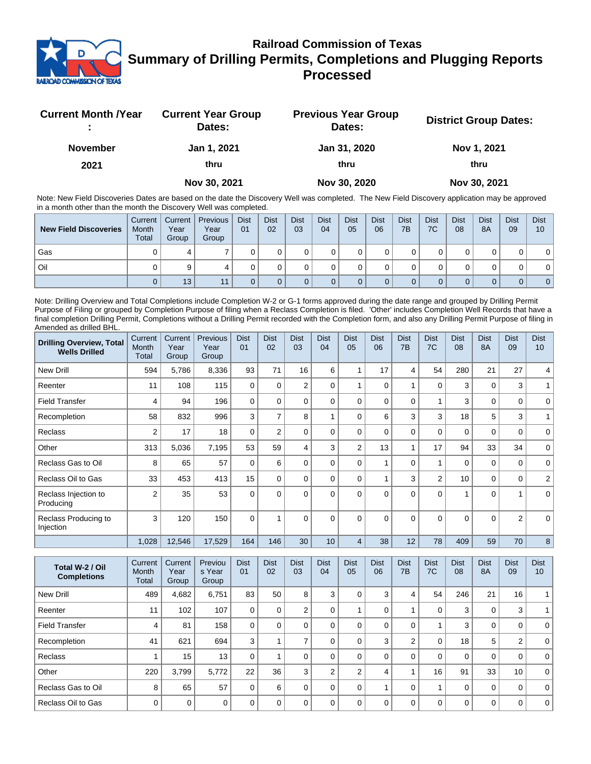

## **Railroad Commission of Texas Summary of Drilling Permits, Completions and Plugging Reports Processed**

| <b>Current Month / Year</b> | <b>Current Year Group</b><br>Dates: | <b>Previous Year Group</b><br>Dates: | <b>District Group Dates:</b> |
|-----------------------------|-------------------------------------|--------------------------------------|------------------------------|
| <b>November</b>             | Jan 1, 2021                         | Jan 31, 2020                         | Nov 1, 2021                  |
| 2021                        | thru                                | thru                                 | thru                         |
|                             | Nov 30, 2021                        | Nov 30, 2020                         | Nov 30, 2021                 |

Note: New Field Discoveries Dates are based on the date the Discovery Well was completed. The New Field Discovery application may be approved in a month other than the month the Discovery Well was completed.

| <b>New Field Discoveries</b> | Current<br>Month<br><b>Total</b> | Current  <br>Year<br>Group | Previous<br>Year<br>Group | <b>Dist</b><br>01 | <b>Dist</b><br>02 | <b>Dist</b><br>03 | <b>Dist</b><br>04 | <b>Dist</b><br>05 | <b>Dist</b><br>06 | <b>Dist</b><br>7B | <b>Dist</b><br>7C | <b>Dist</b><br>08 | <b>Dist</b><br>8A | <b>Dist</b><br>09 | <b>Dist</b><br>10 |
|------------------------------|----------------------------------|----------------------------|---------------------------|-------------------|-------------------|-------------------|-------------------|-------------------|-------------------|-------------------|-------------------|-------------------|-------------------|-------------------|-------------------|
| Gas                          |                                  | 4                          |                           |                   |                   |                   |                   |                   |                   |                   |                   |                   |                   |                   |                   |
| Oil                          |                                  | 9                          |                           |                   |                   |                   |                   |                   |                   |                   |                   |                   |                   |                   |                   |
|                              |                                  | 13                         |                           |                   |                   |                   |                   |                   |                   |                   |                   |                   |                   | 0                 | 0 <sup>1</sup>    |

Note: Drilling Overview and Total Completions include Completion W-2 or G-1 forms approved during the date range and grouped by Drilling Permit Purpose of Filing or grouped by Completion Purpose of filing when a Reclass Completion is filed. 'Other' includes Completion Well Records that have a final completion Drilling Permit, Completions without a Drilling Permit recorded with the Completion form, and also any Drilling Permit Purpose of filing in Amended as drilled BHL.

| <b>Drilling Overview, Total</b><br><b>Wells Drilled</b> | Current<br>Month<br>Total | Current<br>Year<br>Group | Previous<br>Year<br>Group | <b>Dist</b><br>01 | <b>Dist</b><br>02 | <b>Dist</b><br>03 | <b>Dist</b><br>04 | <b>Dist</b><br>05 | Dist<br>06  | <b>Dist</b><br>7B | <b>Dist</b><br>7C       | <b>Dist</b><br>08 | <b>Dist</b><br><b>8A</b> | <b>Dist</b><br>09 | <b>Dist</b><br>10 |
|---------------------------------------------------------|---------------------------|--------------------------|---------------------------|-------------------|-------------------|-------------------|-------------------|-------------------|-------------|-------------------|-------------------------|-------------------|--------------------------|-------------------|-------------------|
| New Drill                                               | 594                       | 5,786                    | 8,336                     | 93                | 71                | 16                | 6                 |                   | 17          | 4                 | 54                      | 280               | 21                       | 27                | 4                 |
| Reenter                                                 | 11                        | 108                      | 115                       | 0                 | $\Omega$          | $\overline{2}$    | $\Omega$          |                   | $\Omega$    | 1                 | $\mathbf 0$             | 3                 | 0                        | 3                 |                   |
| <b>Field Transfer</b>                                   | 4                         | 94                       | 196                       | 0                 | $\Omega$          | 0                 | $\Omega$          | $\Omega$          | $\mathbf 0$ | 0                 | $\overline{A}$          | 3                 | 0                        | 0                 | $\mathbf 0$       |
| Recompletion                                            | 58                        | 832                      | 996                       | 3                 | 7                 | 8                 |                   | $\Omega$          | 6           | 3                 | 3                       | 18                | 5                        | 3                 |                   |
| Reclass                                                 | 2                         | 17                       | 18                        | 0                 | 2                 | 0                 | $\Omega$          | $\Omega$          | 0           | 0                 | 0                       | 0                 | 0                        | 0                 | 0                 |
| Other                                                   | 313                       | 5,036                    | 7,195                     | 53                | 59                | 4                 | 3                 | $\overline{2}$    | 13          | 1                 | 17                      | 94                | 33                       | 34                | $\mathbf 0$       |
| Reclass Gas to Oil                                      | 8                         | 65                       | 57                        | 0                 | 6                 | 0                 | $\mathbf{0}$      | $\Omega$          |             | $\mathbf 0$       | $\overline{\mathbf{A}}$ | $\mathbf 0$       | 0                        | $\mathbf 0$       | $\mathbf 0$       |
| Reclass Oil to Gas                                      | 33                        | 453                      | 413                       | 15                | $\Omega$          | 0                 | $\Omega$          | $\Omega$          |             | 3                 | 2                       | 10                | 0                        | 0                 | 2                 |
| Reclass Injection to<br>Producing                       | $\overline{2}$            | 35                       | 53                        | 0                 | $\Omega$          | 0                 | $\Omega$          | $\Omega$          | $\Omega$    | $\Omega$          | $\Omega$                | 1                 | 0                        |                   | $\Omega$          |
| Reclass Producing to<br>Injection                       | 3                         | 120                      | 150                       | $\mathbf{0}$      |                   | 0                 | $\Omega$          | $\Omega$          | $\Omega$    | $\Omega$          | $\Omega$                | $\Omega$          | $\Omega$                 | $\overline{2}$    | $\Omega$          |
|                                                         | 1,028                     | 12,546                   | 17,529                    | 164               | 146               | 30                | 10                | 4                 | 38          | 12                | 78                      | 409               | 59                       | 70                | 8                 |

| Total W-2 / Oil<br><b>Completions</b> | Current<br>Month<br>Total | Current<br>Year<br>Group | Previou<br>s Year<br>Group | <b>Dist</b><br>01 | <b>Dist</b><br>02 | <b>Dist</b><br>03 | <b>Dist</b><br>04 | <b>Dist</b><br>05 | <b>Dist</b><br>06 | <b>Dist</b><br>7B | <b>Dist</b><br>7C | <b>Dist</b><br>08 | <b>Dist</b><br><b>8A</b> | <b>Dist</b><br>09 | <b>Dist</b><br>10 <sup>°</sup> |
|---------------------------------------|---------------------------|--------------------------|----------------------------|-------------------|-------------------|-------------------|-------------------|-------------------|-------------------|-------------------|-------------------|-------------------|--------------------------|-------------------|--------------------------------|
| New Drill                             | 489                       | 4,682                    | 6,751                      | 83                | 50                | 8                 | 3                 |                   | 3                 | 4                 | 54                | 246               | 21                       | 16                |                                |
| Reenter                               | 11                        | 102                      | 107                        | 0                 | 0                 | 2                 | 0                 |                   | $\Omega$          |                   | 0                 | 3                 | 0                        | 3                 |                                |
| <b>Field Transfer</b>                 | 4                         | 81                       | 158                        | 0                 | 0                 | 0                 |                   |                   | $\Omega$          | 0                 |                   | 3                 | 0                        | 0                 | $\Omega$                       |
| Recompletion                          | 41                        | 621                      | 694                        | 3                 |                   |                   |                   |                   | 3                 | $\overline{2}$    | 0                 | 18                | 5                        | $\overline{2}$    | $\Omega$                       |
| <b>Reclass</b>                        |                           | 15                       | 13                         | 0                 |                   | 0                 | 0                 |                   | $\Omega$          | 0                 | 0                 | $\mathbf 0$       | 0                        | 0                 | $\Omega$                       |
| Other                                 | 220                       | 3,799                    | 5.772                      | 22                | 36                | 3                 | 2                 | 2                 | 4                 |                   | 16                | 91                | 33                       | 10                | 0 <sup>1</sup>                 |
| Reclass Gas to Oil                    | 8                         | 65                       | 57                         | $\Omega$          | 6                 | $\Omega$          | 0                 | 0                 |                   | $\Omega$          |                   | $\Omega$          | 0                        | 0                 | $\Omega$                       |
| Reclass Oil to Gas                    | $\Omega$                  | $\mathbf 0$              | $\Omega$                   | U                 | $\Omega$          | $\Omega$          | O                 |                   | $\Omega$          | 0                 | 0                 | $\mathbf 0$       | 0                        | 0                 | $\mathbf 0$                    |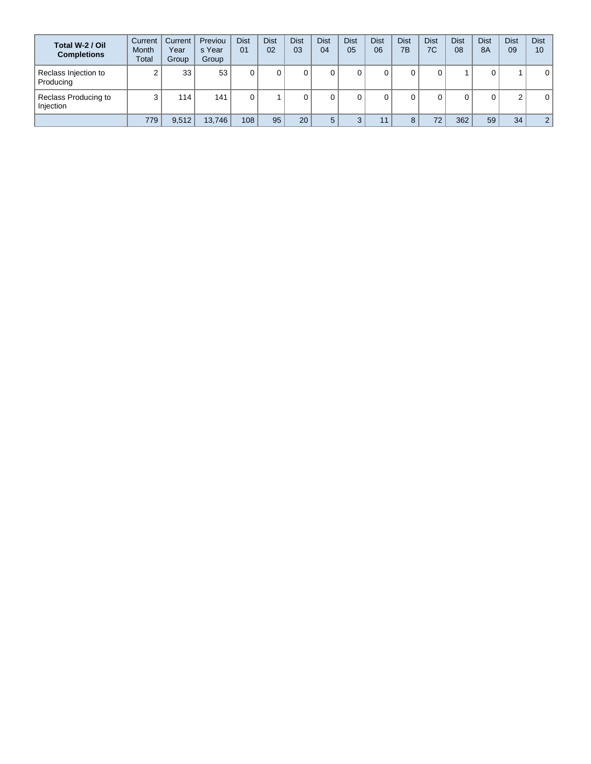| Total W-2 / Oil<br><b>Completions</b> | Current<br><b>Month</b><br>Total | Current<br>Year<br>Group | Previou<br>s Year<br>Group | <b>Dist</b><br>01 | <b>Dist</b><br>02 | <b>Dist</b><br>03 | <b>Dist</b><br>04 | <b>Dist</b><br>05 | <b>Dist</b><br>06 | <b>Dist</b><br>7B | Dist<br>7C | <b>Dist</b><br>08 | <b>Dist</b><br><b>8A</b> | <b>Dist</b><br>09 | <b>Dist</b><br>10 |
|---------------------------------------|----------------------------------|--------------------------|----------------------------|-------------------|-------------------|-------------------|-------------------|-------------------|-------------------|-------------------|------------|-------------------|--------------------------|-------------------|-------------------|
| Reclass Injection to<br>Producing     |                                  | 33                       | 53                         |                   |                   |                   | 0                 |                   |                   |                   |            |                   | 0                        |                   | $\Omega$          |
| Reclass Producing to<br>Injection     | ີ                                | 114                      | 141                        |                   |                   |                   | 0                 |                   |                   |                   |            |                   | 0                        | $\overline{2}$    | 0                 |
|                                       | 779                              | 9,512                    | 13.746                     | 108               | 95                | 20                | 5                 |                   |                   | 8                 | 72         | 362               | 59                       | 34                | $\overline{2}$    |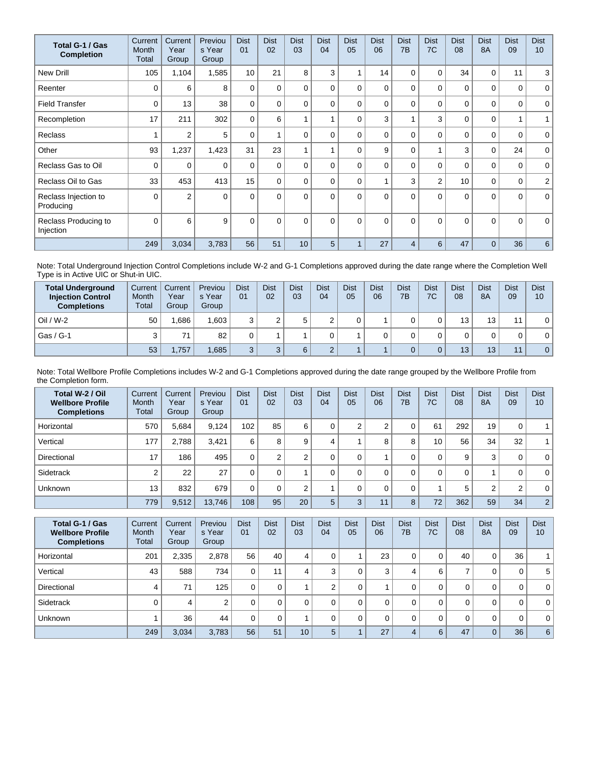| Total G-1 / Gas<br><b>Completion</b> | Current<br>Month<br>Total | Current<br>Year<br>Group | Previou<br>s Year<br>Group | <b>Dist</b><br>01 | <b>Dist</b><br>02 | <b>Dist</b><br>03 | <b>Dist</b><br>04       | <b>Dist</b><br>05 | <b>Dist</b><br>06 | <b>Dist</b><br>7 <sub>B</sub> | <b>Dist</b><br>7C | <b>Dist</b><br>08 | <b>Dist</b><br><b>8A</b> | <b>Dist</b><br>09 | <b>Dist</b><br>10 <sup>1</sup> |
|--------------------------------------|---------------------------|--------------------------|----------------------------|-------------------|-------------------|-------------------|-------------------------|-------------------|-------------------|-------------------------------|-------------------|-------------------|--------------------------|-------------------|--------------------------------|
| <b>New Drill</b>                     | 105                       | 1,104                    | 1,585                      | 10                | 21                | 8                 | 3                       |                   | 14                | 0                             | 0                 | 34                | 0                        | 11                | 3                              |
| Reenter                              | $\Omega$                  | 6                        | 8                          | $\Omega$          | 0                 | $\Omega$          | 0                       | 0                 | $\Omega$          | $\Omega$                      | $\Omega$          | $\mathbf{0}$      | $\Omega$                 | 0                 | $\mathbf 0$                    |
| <b>Field Transfer</b>                | $\Omega$                  | 13                       | 38                         | $\mathbf 0$       | 0                 | $\Omega$          | 0                       | $\Omega$          | $\Omega$          | $\Omega$                      | $\mathbf 0$       | 0                 | $\Omega$                 | 0                 | $\mathbf 0$                    |
| Recompletion                         | 17                        | 211                      | 302                        | $\Omega$          | 6                 |                   |                         | $\Omega$          | 3                 |                               | 3                 | $\Omega$          | $\Omega$                 | 1                 | 1                              |
| <b>Reclass</b>                       |                           | $\overline{2}$           | 5                          | $\Omega$          |                   | $\Omega$          | 0                       | $\Omega$          | $\Omega$          | $\Omega$                      | $\Omega$          | $\mathbf{0}$      | $\Omega$                 | 0                 | $\mathbf 0$                    |
| Other                                | 93                        | 1,237                    | 1,423                      | 31                | 23                |                   | $\overline{\mathbf{A}}$ | $\Omega$          | 9                 | 0                             | 1                 | 3                 | $\mathbf 0$              | 24                | $\mathbf 0$                    |
| Reclass Gas to Oil                   | 0                         | 0                        | $\Omega$                   | $\Omega$          | $\Omega$          | $\Omega$          | 0                       | $\Omega$          | $\Omega$          | $\Omega$                      | 0                 | 0                 | $\Omega$                 | 0                 | $\mathbf 0$                    |
| Reclass Oil to Gas                   | 33                        | 453                      | 413                        | 15                | $\Omega$          | $\Omega$          | 0                       | $\Omega$          |                   | 3                             | $\overline{2}$    | 10                | $\mathbf 0$              | 0                 | $\overline{2}$                 |
| Reclass Injection to<br>Producing    | $\Omega$                  | $\overline{2}$           | $\Omega$                   | $\Omega$          | $\Omega$          | $\Omega$          | $\Omega$                | $\Omega$          | $\Omega$          | $\Omega$                      | $\Omega$          | $\Omega$          | $\Omega$                 | $\Omega$          | $\mathbf{0}$                   |
| Reclass Producing to<br>Injection    | $\Omega$                  | 6                        | 9                          | $\mathbf{0}$      | $\Omega$          | $\Omega$          | $\Omega$                | $\Omega$          | $\Omega$          | $\Omega$                      | $\Omega$          | $\Omega$          | $\Omega$                 | $\Omega$          | $\mathbf 0$                    |
|                                      | 249                       | 3,034                    | 3,783                      | 56                | 51                | 10                | 5                       |                   | 27                | $\overline{4}$                | 6                 | 47                | $\Omega$                 | 36                | 6                              |

Note: Total Underground Injection Control Completions include W-2 and G-1 Completions approved during the date range where the Completion Well Type is in Active UIC or Shut-in UIC.

| <b>Total Underground</b><br><b>Injection Control</b><br><b>Completions</b> | Current<br>Month<br>Total | Current<br>Year<br>Group | Previou<br>s Year<br>Group | <b>Dist</b><br>01 | <b>Dist</b><br>02 | <b>Dist</b><br>03 | <b>Dist</b><br>04 | <b>Dist</b><br>05 | Dist<br>06 | <b>Dist</b><br>7B | <b>Dist</b><br>7C | <b>Dist</b><br>08 | <b>Dist</b><br><b>8A</b> | <b>Dist</b><br>09 | <b>Dist</b><br>10 |
|----------------------------------------------------------------------------|---------------------------|--------------------------|----------------------------|-------------------|-------------------|-------------------|-------------------|-------------------|------------|-------------------|-------------------|-------------------|--------------------------|-------------------|-------------------|
| $Oil / W-2$                                                                | 50                        | .686                     | 1.603                      |                   |                   |                   |                   |                   |            |                   |                   | 13 <sub>1</sub>   | 13                       | 11                | 0                 |
| Gas / G-1                                                                  |                           | 71                       | 82                         |                   |                   |                   |                   |                   |            |                   |                   |                   | 0                        |                   | $\mathbf{0}$      |
|                                                                            | 53                        | .757                     | .685                       |                   |                   |                   |                   |                   |            |                   |                   | 13                | 13 <sup>°</sup>          | 11                | $\overline{0}$    |

Note: Total Wellbore Profile Completions includes W-2 and G-1 Completions approved during the date range grouped by the Wellbore Profile from the Completion form.

| Total W-2 / Oil<br><b>Wellbore Profile</b><br><b>Completions</b> | Current<br>Month<br>Total | Current<br>Year<br>Group | Previou<br>s Year<br>Group | <b>Dist</b><br>01 | <b>Dist</b><br>02 | <b>Dist</b><br>03 | <b>Dist</b><br>04 | <b>Dist</b><br>05 | <b>Dist</b><br>06    | <b>Dist</b><br>7B | <b>Dist</b><br>7C | <b>Dist</b><br>08 | <b>Dist</b><br><b>8A</b> | <b>Dist</b><br>09 | <b>Dist</b><br>10 |
|------------------------------------------------------------------|---------------------------|--------------------------|----------------------------|-------------------|-------------------|-------------------|-------------------|-------------------|----------------------|-------------------|-------------------|-------------------|--------------------------|-------------------|-------------------|
| Horizontal                                                       | 570                       | 5,684                    | 9.124                      | 102               | 85                | 6                 | 0                 | $\sim$            | $\sim$<br>$\epsilon$ | 0                 | 61                | 292               | 19 <sub>1</sub>          | 0                 | $\mathbf{1}$      |
| Vertical                                                         | 177                       | 2.788                    | 3.421                      | 6                 | 8                 | 9                 | 4                 |                   | 8                    | 8                 | 10 <sup>°</sup>   | 56                | 34                       | 32                | $\mathbf{1}$      |
| Directional                                                      | 17                        | 186                      | 495                        | 0                 | $\overline{2}$    | ◠                 |                   |                   |                      | 0                 | 0                 | 9                 | 3                        | 0                 | $\mathbf{0}$      |
| Sidetrack                                                        | ⌒                         | 22                       | 27                         |                   |                   |                   | 0                 |                   |                      | 0                 | 0                 | 0                 |                          | 0                 | $\overline{0}$    |
| Unknown                                                          | 13                        | 832                      | 679                        | 0                 |                   | ◠                 |                   |                   |                      | 0                 |                   | 5                 | 2                        | $\overline{2}$    | $\mathbf{0}$      |
|                                                                  | 779                       | 9,512                    | 13,746                     | 108               | 95                | 20                | 5                 | 3                 | 11                   | 8                 | 72                | 362               | 59                       | 34                | $\overline{2}$    |

| Total G-1 / Gas<br><b>Wellbore Profile</b><br><b>Completions</b> | Current<br><b>Month</b><br>Total | Current<br>Year<br>Group | Previou<br>s Year<br>Group | <b>Dist</b><br>01 | <b>Dist</b><br>02 | <b>Dist</b><br>03 | <b>Dist</b><br>04 | <b>Dist</b><br>05 | <b>Dist</b><br>06 | <b>Dist</b><br>7B | <b>Dist</b><br>7C | <b>Dist</b><br>08 | <b>Dist</b><br>8A | <b>Dist</b><br>09 | <b>Dist</b><br>10 |
|------------------------------------------------------------------|----------------------------------|--------------------------|----------------------------|-------------------|-------------------|-------------------|-------------------|-------------------|-------------------|-------------------|-------------------|-------------------|-------------------|-------------------|-------------------|
| Horizontal                                                       | 201                              | 2,335                    | 2,878                      | 56                | 40                | 4                 |                   |                   | 23                | 0                 | 0                 | 40                | 0                 | 36                |                   |
| Vertical                                                         | 43                               | 588                      | 734                        | 0                 | 11                | 4                 |                   |                   | 3                 | 4                 | 6                 | $\rightarrow$     | 0                 | $\mathbf 0$       | 5 <sup>1</sup>    |
| Directional                                                      | 4                                | 71                       | 125                        | 0                 |                   |                   |                   |                   |                   |                   | 0                 | 0                 | 0                 | 0                 | 0 <sup>1</sup>    |
| Sidetrack                                                        |                                  | 4                        | ົ                          | 0                 |                   | $\Omega$          |                   |                   |                   | 0                 | 0                 | 0                 | 0                 | 0                 | 0 <sup>1</sup>    |
| <b>Unknown</b>                                                   |                                  | 36                       | 44                         | 0                 |                   |                   |                   |                   |                   | 0                 | 0                 | 0                 | 0                 | 0                 | 0 <sup>1</sup>    |
|                                                                  | 249                              | 3,034                    | 3,783                      | 56                | 51                | 10 <sup>1</sup>   | 5                 |                   | 27                | 4                 | 6                 | 47                | $\overline{0}$    | 36                | $6^{\circ}$       |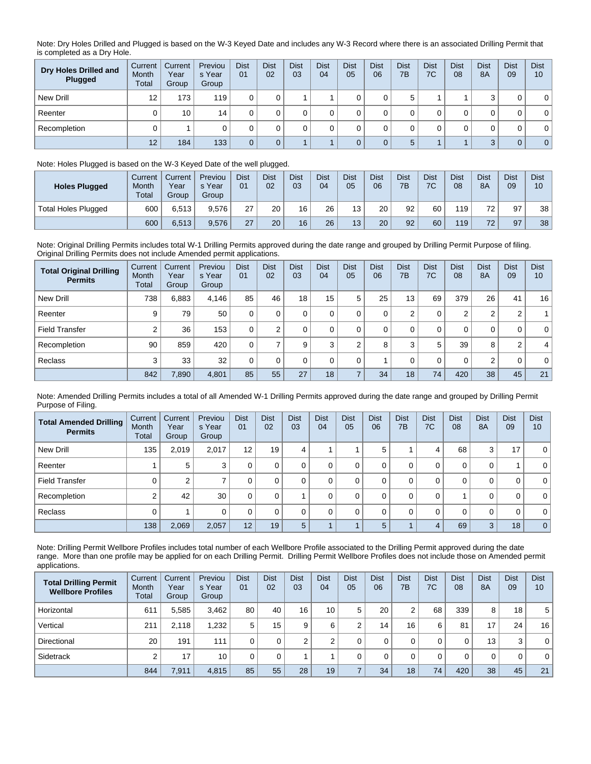Note: Dry Holes Drilled and Plugged is based on the W-3 Keyed Date and includes any W-3 Record where there is an associated Drilling Permit that is completed as a Dry Hole.

| Dry Holes Drilled and<br>Plugged | Current<br>Month<br>Total | Current<br>Year<br>Group | Previou<br>s Year<br>Group | <b>Dist</b><br>01 | <b>Dist</b><br>02 | <b>Dist</b><br>03 | <b>Dist</b><br>04 | <b>Dist</b><br>05 | <b>Dist</b><br>06 | Dist<br>7B | <b>Dist</b><br>7C | <b>Dist</b><br>08 | <b>Dist</b><br>8A | <b>Dist</b><br>09 | <b>Dist</b><br>10 |
|----------------------------------|---------------------------|--------------------------|----------------------------|-------------------|-------------------|-------------------|-------------------|-------------------|-------------------|------------|-------------------|-------------------|-------------------|-------------------|-------------------|
| New Drill                        | 12                        | 173                      | 119                        |                   |                   |                   |                   |                   |                   | 5          |                   |                   |                   |                   | $\mathbf{0}$      |
| Reenter                          |                           | 10                       | 14                         |                   |                   |                   |                   |                   |                   |            |                   |                   |                   | 0                 | $\mathbf 0$       |
| Recompletion                     |                           |                          |                            |                   |                   |                   |                   |                   |                   |            |                   |                   |                   | 0                 | $\mathbf{0}$      |
|                                  | 12                        | 184                      | 133                        |                   |                   |                   |                   |                   |                   | 5          |                   |                   | $\sqrt{2}$        | 0                 | $\overline{0}$    |

## Note: Holes Plugged is based on the W-3 Keyed Date of the well plugged.

| <b>Holes Plugged</b> | Current<br>Month<br>Total | Current<br>Year<br>Group | Previou<br>s Year<br>Group | <b>Dist</b><br>01 | <b>Dist</b><br>02 | <b>Dist</b><br>03 | Dist<br>04 | <b>Dist</b><br>05 | <b>Dist</b><br>06 | Dist<br>7B | <b>Dist</b><br>7C | Dist<br>08 | <b>Dist</b><br><b>8A</b> | Dist<br>09 | <b>Dist</b><br>10 |
|----------------------|---------------------------|--------------------------|----------------------------|-------------------|-------------------|-------------------|------------|-------------------|-------------------|------------|-------------------|------------|--------------------------|------------|-------------------|
| Total Holes Plugged  | 600                       | 6.513                    | 9.576                      | 27                | 20                | 16                | 26         | 13                | 20                | 92         | 60                | 119        | 72.                      | 97         | 38 <sub>1</sub>   |
|                      | 600                       | 6,513                    | 9.576                      | 27                | 20                | 16                | 26         | 13                | 20                | 92         | 60                | 119        | 72                       | 97         | 38                |

Note: Original Drilling Permits includes total W-1 Drilling Permits approved during the date range and grouped by Drilling Permit Purpose of filing. Original Drilling Permits does not include Amended permit applications.

| <b>Total Original Drilling</b><br><b>Permits</b> | Current<br>Month<br>Total | Current<br>Year<br>Group | Previou<br>s Year<br>Group | <b>Dist</b><br>01 | <b>Dist</b><br>02 | <b>Dist</b><br>03 | <b>Dist</b><br>04 | <b>Dist</b><br>05 | <b>Dist</b><br>06 | <b>Dist</b><br>7B | <b>Dist</b><br>7C | <b>Dist</b><br>08 | <b>Dist</b><br><b>8A</b> | <b>Dist</b><br>09 | <b>Dist</b><br>10 |
|--------------------------------------------------|---------------------------|--------------------------|----------------------------|-------------------|-------------------|-------------------|-------------------|-------------------|-------------------|-------------------|-------------------|-------------------|--------------------------|-------------------|-------------------|
| New Drill                                        | 738                       | 6.883                    | 4.146                      | 85                | 46                | 18                | 15                | 5                 | 25                | 13                | 69                | 379               | 26                       | 41                | 16                |
| Reenter                                          | 9                         | 79,                      | 50                         |                   | 0                 |                   | 0                 |                   | 0                 | 2                 | 0                 | $\overline{2}$    | 2                        | 2                 |                   |
| <b>Field Transfer</b>                            | ◠                         | 36                       | 153                        | $\Omega$          | $\Omega$          |                   | 0                 |                   | 0                 | 0                 | 0                 | 0                 | 0                        | 0                 | $\overline{0}$    |
| Recompletion                                     | 90                        | 859                      | 420                        |                   |                   | 9                 | 3                 | $\sim$            | 8                 | 3                 | 5                 | 39                | 8                        | 2                 | $\vert$           |
| Reclass                                          | 3                         | 33                       | 32                         | 0                 | $\Omega$          | 0                 | $\Omega$          |                   |                   | 0                 | 0                 | $\mathbf 0$       | 2                        | 0                 | $\overline{0}$    |
|                                                  | 842                       | 7,890                    | 4,801                      | 85                | 55                | 27                | 18                |                   | 34                | 18                | 74                | 420               | 38                       | 45                | 21                |

Note: Amended Drilling Permits includes a total of all Amended W-1 Drilling Permits approved during the date range and grouped by Drilling Permit Purpose of Filing.

| <b>Total Amended Drilling</b><br><b>Permits</b> | Current<br><b>Month</b><br>Total | Current<br>Year<br>Group | Previou<br>s Year<br>Group | <b>Dist</b><br>01 | <b>Dist</b><br>02 | <b>Dist</b><br>03 | <b>Dist</b><br>04 | <b>Dist</b><br>05 | <b>Dist</b><br>06 | <b>Dist</b><br>7B | <b>Dist</b><br>7C | <b>Dist</b><br>08 | <b>Dist</b><br><b>8A</b> | <b>Dist</b><br>09 | <b>Dist</b><br>10 |
|-------------------------------------------------|----------------------------------|--------------------------|----------------------------|-------------------|-------------------|-------------------|-------------------|-------------------|-------------------|-------------------|-------------------|-------------------|--------------------------|-------------------|-------------------|
| New Drill                                       | 135                              | 2,019                    | 2,017                      | $12 \overline{ }$ | 19                | 4                 |                   |                   | 5                 |                   | 4                 | 68                | 3                        | 17                | 0 <sup>1</sup>    |
| Reenter                                         |                                  | 5                        | 3                          | 0                 |                   | 0                 |                   | 0                 | 0                 | 0                 | 0                 | 0                 | 0                        |                   | 0 <sup>1</sup>    |
| <b>Field Transfer</b>                           |                                  | 2                        |                            | 0                 |                   |                   |                   | 0                 | 0                 | 0                 | 0                 | 0                 | 0                        | 0                 | 0 <sup>1</sup>    |
| Recompletion                                    |                                  | 42                       | 30                         | 0                 |                   |                   |                   | 0                 | 0                 | 0                 | 0                 |                   | 0                        | 0                 | 0 <sup>1</sup>    |
| Reclass                                         |                                  |                          | 0                          | 0                 |                   | $\Omega$          |                   | $\Omega$          | 0                 | 0                 | 0                 | $\mathbf 0$       | 0                        | 0                 | 0 <sup>1</sup>    |
|                                                 | 138                              | 2,069                    | 2,057                      | 12                | 19                | 5                 |                   |                   | 5                 |                   | $\overline{4}$    | 69                | 3                        | 18                | $\overline{0}$    |

Note: Drilling Permit Wellbore Profiles includes total number of each Wellbore Profile associated to the Drilling Permit approved during the date range. More than one profile may be applied for on each Drilling Permit. Drilling Permit Wellbore Profiles does not include those on Amended permit applications.

| <b>Total Drilling Permit</b><br><b>Wellbore Profiles</b> | Current<br>Month<br>Total | Current<br>Year<br>Group | Previou<br>s Year<br>Group | <b>Dist</b><br>01 | <b>Dist</b><br>02 | <b>Dist</b><br>03 | <b>Dist</b><br>04 | <b>Dist</b><br>05 | <b>Dist</b><br>06 | <b>Dist</b><br>7B | <b>Dist</b><br>7C | <b>Dist</b><br>08 | <b>Dist</b><br>8A | <b>Dist</b><br>09 | <b>Dist</b><br>10 |
|----------------------------------------------------------|---------------------------|--------------------------|----------------------------|-------------------|-------------------|-------------------|-------------------|-------------------|-------------------|-------------------|-------------------|-------------------|-------------------|-------------------|-------------------|
| Horizontal                                               | 611                       | 5,585                    | 3,462                      | 80                | 40                | 16 <sub>1</sub>   | 10 <sub>1</sub>   | 5                 | 20                | $\overline{2}$    | 68                | 339               | 8                 | 18                | 5                 |
| Vertical                                                 | 211                       | 2.118                    | 1.232                      | 5                 | 15                | 9                 | 6                 |                   | 14                | 16                | 6                 | 81                | 17                | 24                | 16                |
| Directional                                              | 20                        | 191                      | 111                        | 0                 | 0                 | $\sim$            | ⌒                 |                   |                   | 0                 | 0                 | 0                 | 13                | 3                 | $\mathbf{0}$      |
| Sidetrack                                                |                           | 17                       | 10                         |                   |                   |                   |                   |                   |                   |                   | 0                 | $\Omega$          | 0                 | 0                 | $\mathbf{0}$      |
|                                                          | 844                       | 7,911                    | 4,815                      | 85                | 55                | 28                | 19 <sub>1</sub>   |                   | 34                | 18                | 74                | 420               | 38                | 45                | 21                |